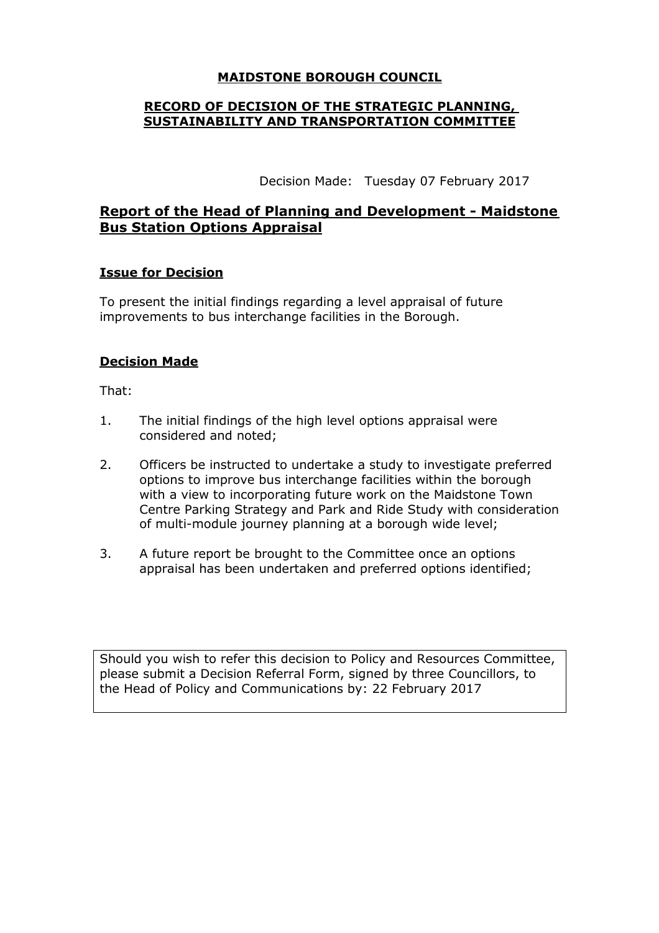## **MAIDSTONE BOROUGH COUNCIL**

### **RECORD OF DECISION OF THE STRATEGIC PLANNING, SUSTAINABILITY AND TRANSPORTATION COMMITTEE**

Decision Made: Tuesday 07 February 2017

# **Report of the Head of Planning and Development - Maidstone Bus Station Options Appraisal**

## **Issue for Decision**

To present the initial findings regarding a level appraisal of future improvements to bus interchange facilities in the Borough.

## **Decision Made**

That:

- 1. The initial findings of the high level options appraisal were considered and noted;
- 2. Officers be instructed to undertake a study to investigate preferred options to improve bus interchange facilities within the borough with a view to incorporating future work on the Maidstone Town Centre Parking Strategy and Park and Ride Study with consideration of multi-module journey planning at a borough wide level;
- 3. A future report be brought to the Committee once an options appraisal has been undertaken and preferred options identified;

Should you wish to refer this decision to Policy and Resources Committee, please submit a Decision Referral Form, signed by three Councillors, to the Head of Policy and Communications by: 22 February 2017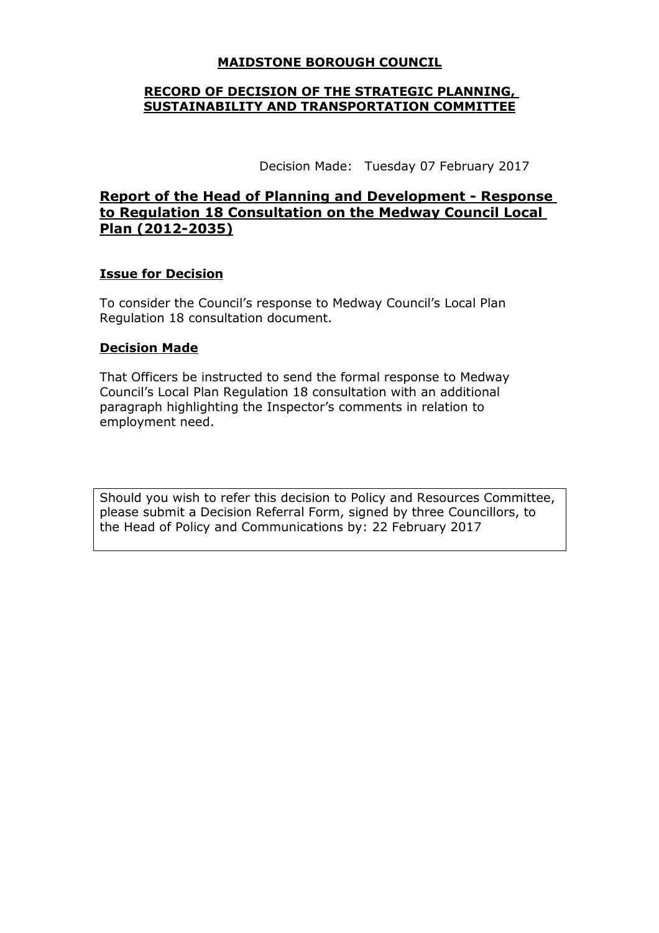## **MAIDSTONE BOROUGH COUNCIL**

### **RECORD OF DECISION OF THE STRATEGIC PLANNING, SUSTAINABILITY AND TRANSPORTATION COMMITTEE**

Decision Made: Tuesday 07 February 2017

# **Report of the Head of Planning and Development - Response to Regulation 18 Consultation on the Medway Council Local Plan (2012-2035)**

#### **Issue for Decision**

To consider the Council's response to Medway Council's Local Plan Regulation 18 consultation document.

# **Decision Made**

That Officers be instructed to send the formal response to Medway Council's Local Plan Regulation 18 consultation with an additional paragraph highlighting the Inspector's comments in relation to employment need.

Should you wish to refer this decision to Policy and Resources Committee, please submit a Decision Referral Form, signed by three Councillors, to the Head of Policy and Communications by: 22 February 2017